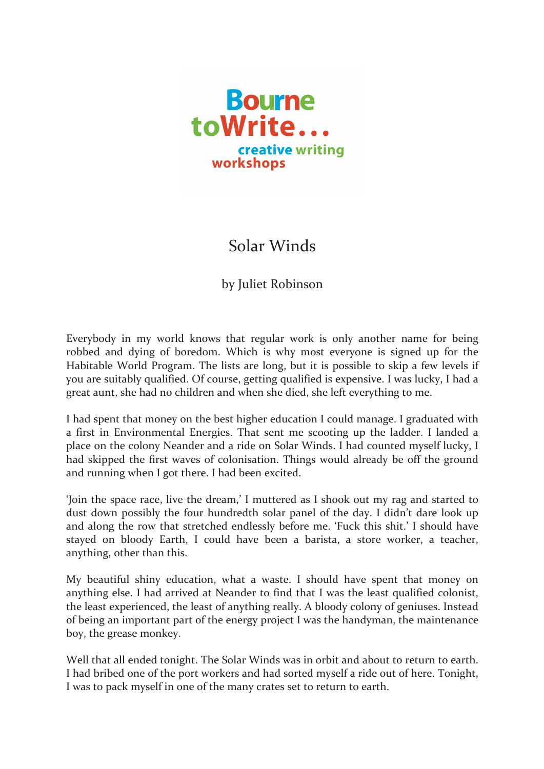

## Solar Winds

## by Juliet Robinson

Everybody in my world knows that regular work is only another name for being robbed and dying of boredom. Which is why most everyone is signed up for the Habitable World Program. The lists are long, but it is possible to skip a few levels if you are suitably qualified. Of course, getting qualified is expensive. I was lucky, I had a great aunt, she had no children and when she died, she left everything to me.

I had spent that money on the best higher education I could manage. I graduated with a first in Environmental Energies. That sent me scooting up the ladder. I landed a place on the colony Neander and a ride on Solar Winds. I had counted myself lucky. I had skipped the first waves of colonisation. Things would already be off the ground and running when I got there. I had been excited.

'Join the space race, live the dream,' I muttered as I shook out my rag and started to dust down possibly the four hundredth solar panel of the day. I didn't dare look up and along the row that stretched endlessly before me. 'Fuck this shit.' I should have stayed on bloody Earth, I could have been a barista, a store worker, a teacher, anything, other than this.

My beautiful shiny education, what a waste. I should have spent that money on anything else. I had arrived at Neander to find that I was the least qualified colonist, the least experienced, the least of anything really. A bloody colony of geniuses. Instead of being an important part of the energy project I was the handyman, the maintenance boy, the grease monkey.

Well that all ended tonight. The Solar Winds was in orbit and about to return to earth. I had bribed one of the port workers and had sorted myself a ride out of here. Tonight, I was to pack myself in one of the many crates set to return to earth.